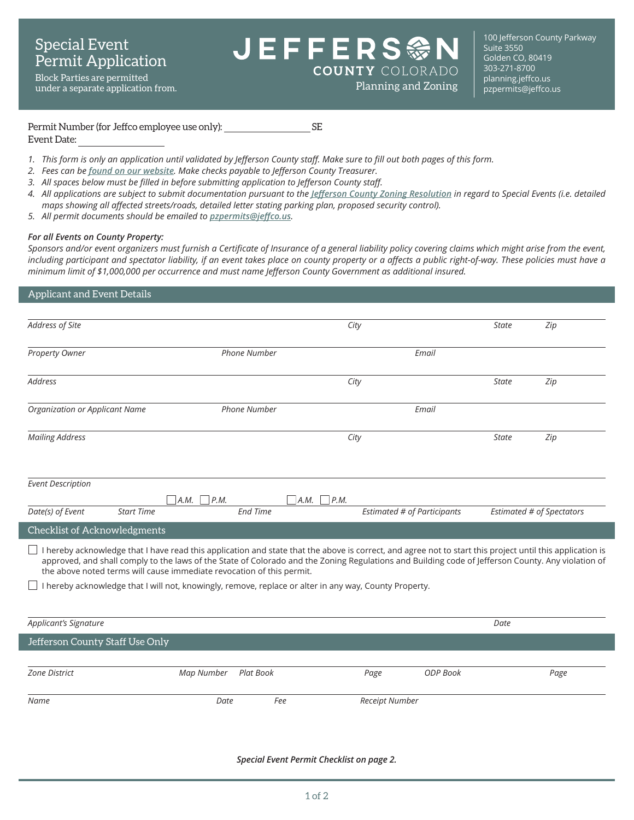Block Parties are permitted under a separate application from. **EFFERS 参 COUNTY** COLORADO

100 Jefferson County Parkway Suite 3550 Golden CO, 80419 303-271-8700 **Planning and Zoning [planning.jeffco.us](http://planning.jeffco.us)**<br>Planning and Zoning pzpermits@jeffco.us

#### Permit Number (for Jeffco employee use only): SE Event Date:

- 1. This form is only an application until validated by Jefferson County staff. Make sure to fill out both pages of this form.
- *2. Fees can be [found on our website](https://www.jeffco.us/2920/). Make checks payable to Jefferson County Treasurer.*
- *3. All spaces below must be filled in before submitting application to Jefferson County staff.*
- *4. All applications are subject to submit documentation pursuant to the [Jefferson County Zoning Resolution](https://www.jeffco.us/2460/) in regard to Special Events (i.e. detailed maps showing all affected streets/roads, detailed letter stating parking plan, proposed security control).*
- *5. All permit documents should be emailed to [pzpermits@jeffco.us](mailto:pzpermits%40jeffco.us?subject=).*

## *For all Events on County Property:*

Sponsors and/or event organizers must furnish a Certificate of Insurance of a general liability policy covering claims which might arise from the event, including participant and spectator liability, if an event takes place on county property or a affects a public right-of-way. These policies must have a *minimum limit of \$1,000,000 per occurrence and must name Jefferson County Government as additional insured.*

# Applicant and Event Details *Address of Site City State Zip* **Property Owner** *Email Phone Number Email Email Address City State Zip Organization or Applicant Name Phone Number Email Mailing Address City State Zip Event Description A.M. P.M. A.M. P.M. Date(s) of Event Start Time End Time Estimated # of Participants Estimated # of Spectators* Checklist of Acknowledgments  $\Box$  I hereby acknowledge that I have read this application and state that the above is correct, and agree not to start this project until this application is approved, and shall comply to the laws of the State of Colorado and the Zoning Regulations and Building code of Jefferson County. Any violation of the above noted terms will cause immediate revocation of this permit.  $\Box$  I hereby acknowledge that I will not, knowingly, remove, replace or alter in any way, County Property. *Applicant's Signature Date* Jefferson County Staff Use Only *Zone District Map Number Plat Book Page ODP Book Page Name Date Fee Receipt Number*

*Special Event Permit Checklist on page 2.*